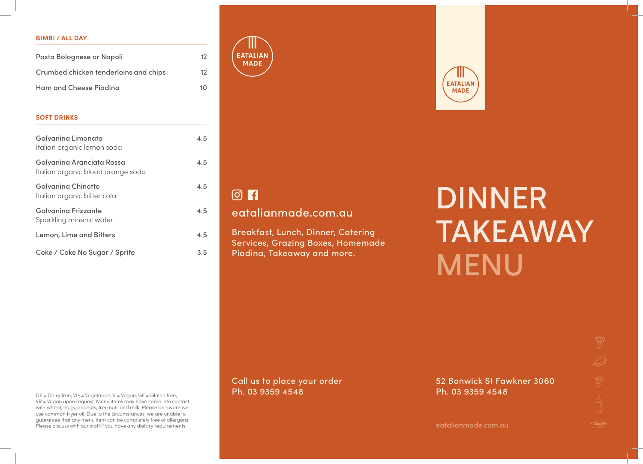#### **BIMBI / ALL DAY**

| Pasta Bolognese or Napoli             | 12             |
|---------------------------------------|----------------|
| Crumbed chicken tenderloins and chips | 12             |
| Ham and Cheese Piadina                | 1 <sub>0</sub> |

#### **SOFT DRINKS**

| Galvanina Limonata<br>Italian organic lemon soda               | 4.5 |
|----------------------------------------------------------------|-----|
| Galvanina Aranciata Rossa<br>Italian organic blood orange soda | 4.5 |
| Galvanina Chinotto<br>Italian organic bitter cola              | 4.5 |
| Galvanina Frizzante<br>Sparkling mineral water                 | 4.5 |
| Lemon, Lime and Bitters                                        | 4.5 |
| Coke / Coke No Sugar / Sprite                                  | 3.5 |

**EATALIAN MADE** 



# eatalianmade.com.au

Breakfast, Lunch, Dinner, Catering Services, Grazing Boxes, Homemade Piadina, Takeaway and more.

DINNER TAKEAWAY **MENU** 

DF = Dairy free, VG = Vegetarian, V = Vegan, GF = Gluten free, VR = Vegan upon request. Menu items may have come into contact with wheat, eggs, peanuts, tree nuts and milk. Please be aware we use common fryer oil. Due to the circumstances, we are unable to guarantee that any menu item can be completely free of allergens. Please discuss with our staff if you have any dietary requirements.

Call us to place your order Ph. 03 9359 4548

52 Bonwick St Fawkner 3060 Ph. 03 9359 4548

**EATALIAN MADE**